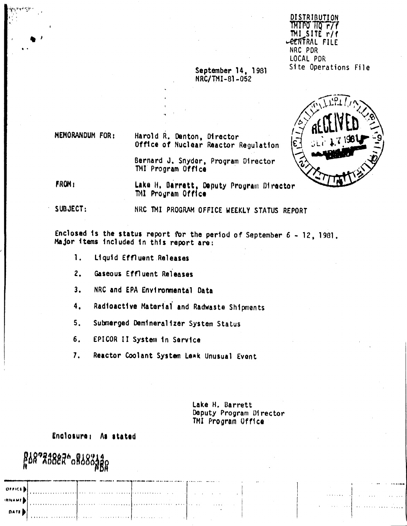DISTRIBUTION TMITO TIO F/F TMI SITE r/f **LEENFRAL FILE** NRC PDR LOCAL PDR Site Operations File

### September 14, 1981 NRC/TMI-81-052



MEMORANDUM FOR: Harold R. Denton, Director Office of Nuclear Reactor Regulation

> Bernard J. Snyder, Program Director TMI Program Office

**FROM:** Lake H. Barrett, Deputy Program Director TM1 Program Office

SUBJECT:

NRC TMI PROGRAM OFFICE WEEKLY STATUS REPORT

Enclosed is the status report for the period of September 6 - 12, 1981. Major items included in this report are:

- $\mathbf{1}$ . Liquid Effluent Releases
- $2.$ Gaseous Effluent Releases
- NRC and EPA Environmental Data  $3.$
- Radioactive Material and Radwaste Shipments  $4.$
- $5.$ Submerged Demineralizer System Status
- 6. EPICOR II System in Sarvice
- Reactor Coolant System Leak Unusual Event  $7.$

Lake H. Barrett Deputy Program Director TMI Program Office

Enclosure: As stated

g18°73887° 08883389

**OLLICE** 

DATE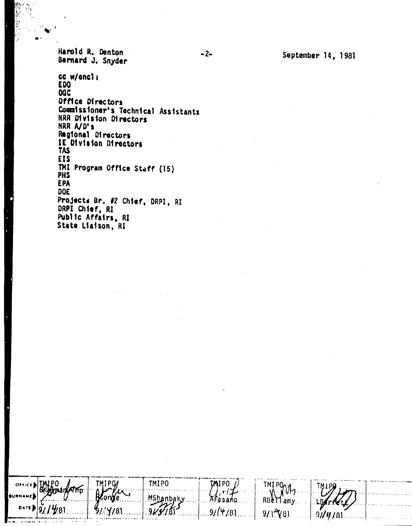Harold R. Denton Bernard J. Snyder

TMIPO

**BoxarkATMp** 

**TMIPO** 

(e .

Y/81

TMIP0

Mshanbaky

9KY.IS

September 14, 1981

TMIPOM

 $911$ <sup>2</sup> $(8)$ 

RBellamy

 $9/14$ 

**TMIPO** 

 $r/L$ 

Afasano

 $9/(4/8)$ 

cc w/encl: **EDO OQC** Office Directors Commissioner's Technical Assistants NRR Division Directors NRR A/D's Regional Directors IE Division Directors **TAS EIS** TMI Program Office Staff (15) **PHS EPA** DOE Projects Br. #2 Chief, DRPI, RI DRPI Chief, RI Public Affairs, RI State Liaison, RI

 $-2-$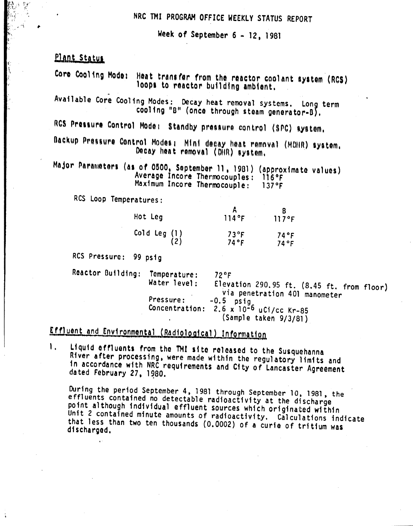## NRC TMI PROGRAM OFFICE WEEKLY STATUS REPORT

Week of September  $6 - 12$ , 1981

## Plant Status

Core Cooling Mode: Heat transfer from the reactor coolant system (RCS) loops to reactor building ambient.

Available Core Cooling Modes: Decay heat removal systems. Long term cooling "B" (once through steam generator-B).

RGS Pressure Control Mode: Standby pressure control (SPG) system.

Dackup Pressure Control Modes: Mini decay heat removal (MDHR) system. Decay heat removal (DIR) system.

Major Parameters (as of 0500, September 11, 1981) (approximate values) Average Incore Thermocouples: 116°F Maximum Incore Thermocouple:  $137$  °F

RCS Loop Temperatures:

| Hot Leg                 | 114°F                 | 117°F        |
|-------------------------|-----------------------|--------------|
| Cold Leg $(1)$<br>$(2)$ | $73^{\circ}F$<br>74°F | 74°F<br>74°F |

RCS Pressure: 99 psig

Reactor Building: Temperature:  $72$   $\circ$ F Water level: Elevation 290.95 ft. (8.45 ft. from floor) via penetration 401 manometer Pressure:  $-0.5$  psig<br>2.6 x 10<sup>-6</sup> uCi/cc Kr-85 Concentration: (Sample taken 9/3/81)

# Effluent and Environmental (Radiological) Information

 $\mathbf{L}$ Liquid offluents from the TMI site released to the Susquehanna River after processing, were made within the regulatory limits and in accordance with NRC requirements and City of Lancaster Agreement dated February 27, 1980.

During the period September 4, 1981 through September 10, 1981, the effluents contained no detectable radioactivity at the discharge point although individual effluent sources which originated within Unit 2 contained minute amounts of radioactivity. Calculations indicate that less than two ten thousands (0.0002) of a curie of tritium was discharged.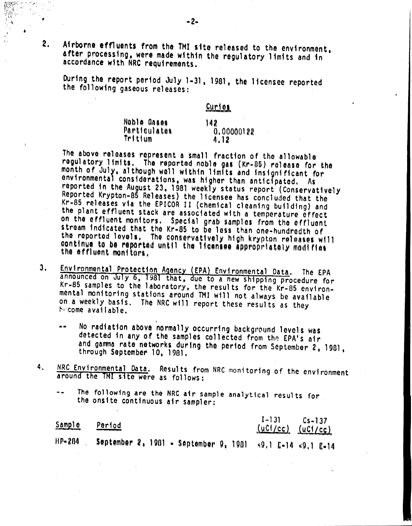Airborne effluents from the 1MI site released to the environment, after processing, were made within the regulatory limits and in accordance w1th NRC requirements.

During the report period July 1-31, 1981, the licensee reported the following gaseous releases:

Curioa

 $142$  $0.00000122$  $4.12$ Noble Gases Particulates Trtt ium

The above releases represent a small fraction of the allowable regulatory limits. The reported noble gas (Kr-85) release for the month of July, although well within limits and insignificant for environmental considerations, was higher than anticipatod. As reported in the August 23, 1981 weekly status report (Conservatively Reported Krypton-85 Releases) the licensee has concluded that the Kr-85 releases via the EPICOR II (chemical cleaning building) and the plant effluent stack are associated with a temperature effect on the effluent monitors. Special grab samples from the effluent stream indicated that the Kr-85 to be less than one-hundredth of the reported lovels. The conservatively high krypton releases will continue to be reported until the licensee appropriately modifies

- Environmental Protection Agency (EPA) Environmental Data. The EPA 3. announced on July 6, 1981 that, due to a new shipping procedure for Kr-85 samples to the laboratory, the results for the Kr-85 environmental monitoring stations around TMI will not always be available on a weekly basis. The NRC will report these results as they become available.
	- \*\* No radiation above normally occurring background levels was detected in any of the samples collected from the EPA's air and gamma rate networks during the period from September 2, 1981, through September 10, 1981.
- 4. NRC Environmental Data. Results from NRC monitoring of the environment around the 1MI site were as follows:
	- The following are the NRC air sample analytical results for  $\overline{\phantom{a}}$ the onsite continuous air sampler:

| <u>Sample</u> | <u>Period</u>                                              | $I - 131$<br>(uCl/cc) (uCl/cc) | $Cs - 137$ |
|---------------|------------------------------------------------------------|--------------------------------|------------|
| $HP-204$      | September 2, 1981 – September 9, 1981 –∢9.1 £-14 ≺9.1 £-14 |                                |            |

 $\cdots$  , . . ",'

 $\cdot$  '

2.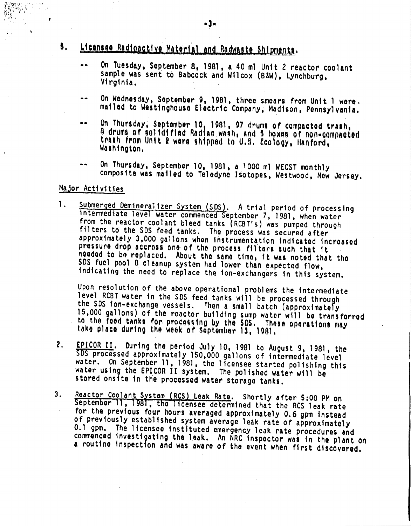## 5. Licensee Radioactive Material and Radwaste Shipments.

- •• On Tuesday, September 8, 1981, a 40 ml Unit 2 reactor coolant sample was sent to Babcock and Wilcox (B&W). Lynchburg, Virginia.
- On Wednesday, Soptember 9, 1981, three smears from Unit 1 were. -mailed to Westinghouse Eloctric Company, Madison. Ponnsylvania.
- ... On Thursday, September 10, 1981, 97 drums of compacted trash, O drums of solidified Radiac wash, and B hoxes of non-compacted trash from Unit 2 were shipped to U.S. Ecology, Hanford, Washington,
- On Thursday, September 10, 1981, a 1000 ml WECST monthly composite was mailed to Teledyne Isotopes, WestWOOd, New Jersey.

### Major Activities

1. Submerged Demineralizer System (SDS). A trial period of processing intermediate level water commenced September 7. 1981, when water from the reactor coolant bleed tanks (RCBT's) was pumped through filters to the SDS feed tanks. The process was secured after approximately 3,000 gallons when instrumentation indicated increased pressure drop accross one of the process filters such that it neodod to bo roplaced. About tho samo timo, it was notod that tho 50S fuel pool B cleanup system had lower than expected flow, indicating the need to replace the ion-exchangers in this system.

Upon resolution of the above operational problems the intermediate level RCBT water in the SDS feed tanks will be processed through the SOS ion-exchange vessels. Then a small batch (approximately 15,000 gallons) of the reactor building sump wator will be transferred to the food tanks for processing by the SDS. These operations may take place during the week of September 13, 1901.

- 2. EPICOR II. During the period July 10, 1981 to August 9, 1981, the 50S processed approximately 150,000 gallons of intermediate level water. On September 11, 1981, the licensee started polishing this water using the EPICOR II system. The polished water will be stored onsite in the processed water storage tanks.
- 3. Reactor Coolant System (RCS) Leak Rate. Shortly after 5:00 PM on September 11, 1981, the licensee determined that the RCS leak rate for the previous four hours averaged approximately 0.6 gpm instead of previously established system average leak rate of approximately 0.1 gpm. The licensee instituted emergency leak rate procedures and commenced investigating the leak. An NRC inspector was in the plant on a routine inspection and was aware of the event when first discovered.